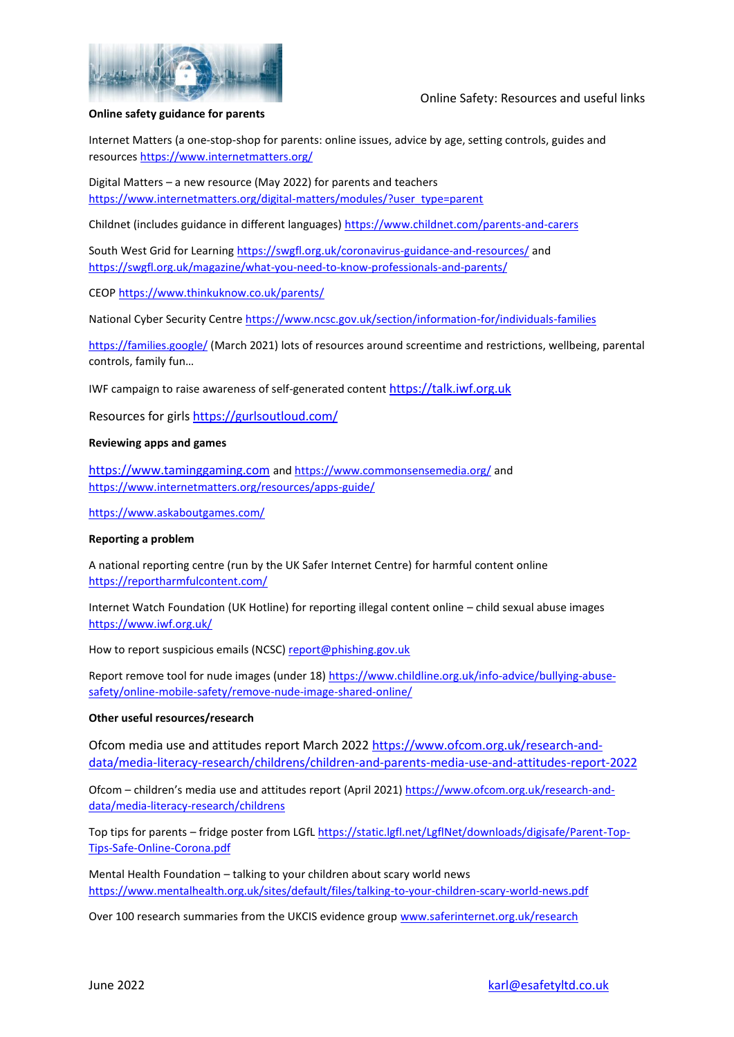

### Online Safety: Resources and useful links

### **Online safety guidance for parents**

Internet Matters (a one-stop-shop for parents: online issues, advice by age, setting controls, guides and resources<https://www.internetmatters.org/>

Digital Matters – a new resource (May 2022) for parents and teachers [https://www.internetmatters.org/digital-matters/modules/?user\\_type=parent](https://www.internetmatters.org/digital-matters/modules/?user_type=parent)

Childnet (includes guidance in different languages)<https://www.childnet.com/parents-and-carers>

South West Grid for Learning<https://swgfl.org.uk/coronavirus-guidance-and-resources/> and <https://swgfl.org.uk/magazine/what-you-need-to-know-professionals-and-parents/>

CEOP<https://www.thinkuknow.co.uk/parents/>

National Cyber Security Centre<https://www.ncsc.gov.uk/section/information-for/individuals-families>

<https://families.google/> (March 2021) lots of resources around screentime and restrictions, wellbeing, parental controls, family fun…

IWF campaign to raise awareness of self-generated content [https://talk.iwf.org.uk](https://talk.iwf.org.uk/)

Resources for girl[s https://gurlsoutloud.com/](https://gurlsoutloud.com/)

### **Reviewing apps and games**

[https://www.taminggaming.com](https://www.taminggaming.com/) and <https://www.commonsensemedia.org/> and <https://www.internetmatters.org/resources/apps-guide/>

<https://www.askaboutgames.com/>

### **Reporting a problem**

A national reporting centre (run by the UK Safer Internet Centre) for harmful content online <https://reportharmfulcontent.com/>

Internet Watch Foundation (UK Hotline) for reporting illegal content online – child sexual abuse images <https://www.iwf.org.uk/>

How to report suspicious emails (NCSC) [report@phishing.gov.uk](mailto:report@phishing.gov.uk)

Report remove tool for nude images (under 18) [https://www.childline.org.uk/info-advice/bullying-abuse](https://www.childline.org.uk/info-advice/bullying-abuse-safety/online-mobile-safety/remove-nude-image-shared-online/)[safety/online-mobile-safety/remove-nude-image-shared-online/](https://www.childline.org.uk/info-advice/bullying-abuse-safety/online-mobile-safety/remove-nude-image-shared-online/)

### **Other useful resources/research**

Ofcom media use and attitudes report March 2022 [https://www.ofcom.org.uk/research-and](https://www.ofcom.org.uk/research-and-data/media-literacy-research/childrens/children-and-parents-media-use-and-attitudes-report-2022)[data/media-literacy-research/childrens/children-and-parents-media-use-and-attitudes-report-2022](https://www.ofcom.org.uk/research-and-data/media-literacy-research/childrens/children-and-parents-media-use-and-attitudes-report-2022)

Ofcom – children's media use and attitudes report (April 2021[\) https://www.ofcom.org.uk/research-and](https://www.ofcom.org.uk/research-and-data/media-literacy-research/childrens)[data/media-literacy-research/childrens](https://www.ofcom.org.uk/research-and-data/media-literacy-research/childrens)

Top tips for parents – fridge poster from LGfL [https://static.lgfl.net/LgflNet/downloads/digisafe/Parent-Top-](https://static.lgfl.net/LgflNet/downloads/digisafe/Parent-Top-Tips-Safe-Online-Corona.pdf)[Tips-Safe-Online-Corona.pdf](https://static.lgfl.net/LgflNet/downloads/digisafe/Parent-Top-Tips-Safe-Online-Corona.pdf)

Mental Health Foundation – talking to your children about scary world news <https://www.mentalhealth.org.uk/sites/default/files/talking-to-your-children-scary-world-news.pdf>

Over 100 research summaries from the UKCIS evidence grou[p www.saferinternet.org.uk/research](http://www.saferinternet.org.uk/research)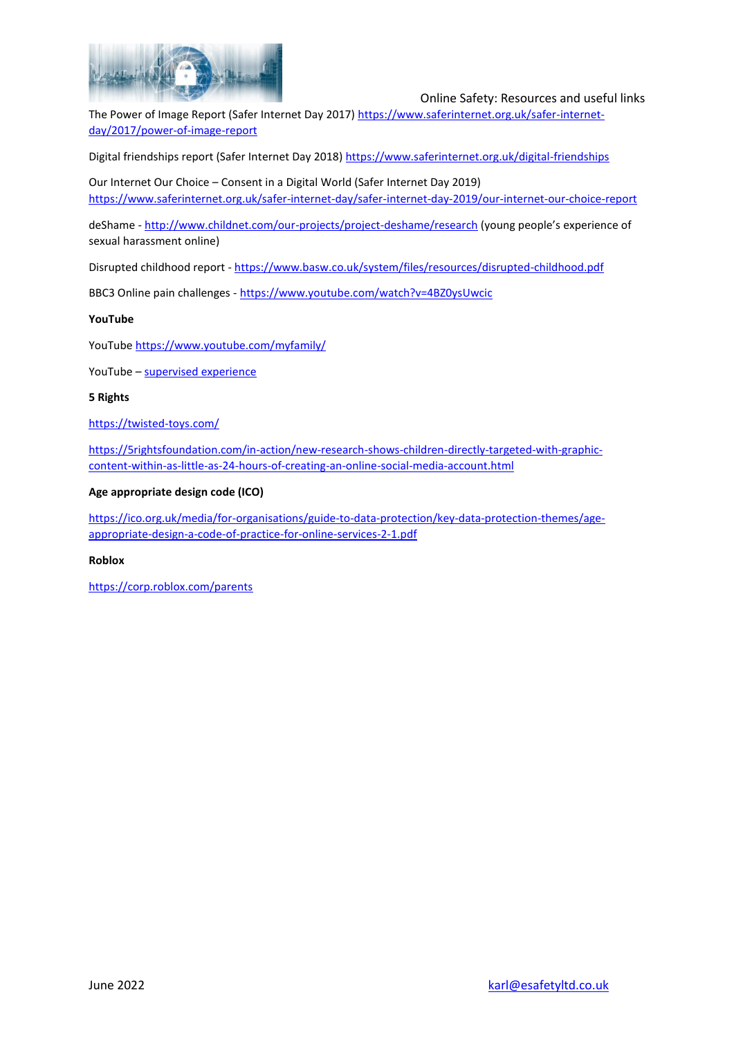

### Online Safety: Resources and useful links

The Power of Image Report (Safer Internet Day 2017[\) https://www.saferinternet.org.uk/safer-internet](https://www.saferinternet.org.uk/safer-internet-day/2017/power-of-image-report)[day/2017/power-of-image-report](https://www.saferinternet.org.uk/safer-internet-day/2017/power-of-image-report)

Digital friendships report (Safer Internet Day 2018[\) https://www.saferinternet.org.uk/digital-friendships](https://www.saferinternet.org.uk/digital-friendships)

Our Internet Our Choice – Consent in a Digital World (Safer Internet Day 2019) <https://www.saferinternet.org.uk/safer-internet-day/safer-internet-day-2019/our-internet-our-choice-report>

deShame - <http://www.childnet.com/our-projects/project-deshame/research> (young people's experience of sexual harassment online)

Disrupted childhood report - <https://www.basw.co.uk/system/files/resources/disrupted-childhood.pdf>

BBC3 Online pain challenges - <https://www.youtube.com/watch?v=4BZ0ysUwcic>

### **YouTube**

YouTube<https://www.youtube.com/myfamily/>

YouTube – [supervised experience](https://kstatic.googleusercontent.com/files/8c008b73566d01df66ef5e487b7feaf08b1bd3620171bed889d95ce13098920fd3dfc0817d7e9f330ef72aa3144c29c233d3c5f97ade838e948b2989c3fcdc51)

### **5 Rights**

<https://twisted-toys.com/>

[https://5rightsfoundation.com/in-action/new-research-shows-children-directly-targeted-with-graphic](https://5rightsfoundation.com/in-action/new-research-shows-children-directly-targeted-with-graphic-content-within-as-little-as-24-hours-of-creating-an-online-social-media-account.html)[content-within-as-little-as-24-hours-of-creating-an-online-social-media-account.html](https://5rightsfoundation.com/in-action/new-research-shows-children-directly-targeted-with-graphic-content-within-as-little-as-24-hours-of-creating-an-online-social-media-account.html)

### **Age appropriate design code (ICO)**

[https://ico.org.uk/media/for-organisations/guide-to-data-protection/key-data-protection-themes/age](https://ico.org.uk/media/for-organisations/guide-to-data-protection/key-data-protection-themes/age-appropriate-design-a-code-of-practice-for-online-services-2-1.pdf)[appropriate-design-a-code-of-practice-for-online-services-2-1.pdf](https://ico.org.uk/media/for-organisations/guide-to-data-protection/key-data-protection-themes/age-appropriate-design-a-code-of-practice-for-online-services-2-1.pdf)

### **Roblox**

<https://corp.roblox.com/parents>